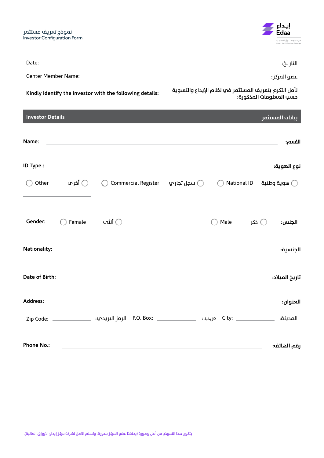نموذج تعريف مستثمر Investor Configuration Form

التاريخ: :Date

Center Member Name: :املركز عضو

**نأمل التكرم بتعريف املستثمر يف نظام اإليداع والتسوية :details following the with investor the identify Kindly حسب املعلومات املذكورة:**

| <b>Investor Details</b> |                 |                                                            |      |                | بيانات المستثمر |
|-------------------------|-----------------|------------------------------------------------------------|------|----------------|-----------------|
| Name:                   |                 | <u> Alexandria de la contrada de la contrada de la con</u> |      |                | الاسم:          |
| ID Type.:               |                 |                                                            |      |                | نوع الهوية:     |
| Other                   | أخرى $\bigcirc$ | © سجل تجار بِ         Commercial Register                  |      |                |                 |
|                         |                 |                                                            |      |                |                 |
| Gender:                 | Female          | أنثم $\bigcirc$                                            | Male | ذکر $\bigcirc$ | الجنس:          |
| Nationality:            |                 |                                                            |      |                | الجنسية:        |
| Date of Birth:          |                 |                                                            |      |                | تاريخ الميلاد:  |
| Address:                |                 |                                                            |      |                | العنوان:        |
|                         |                 |                                                            |      |                | المدينة:        |
| <b>Phone No.:</b>       |                 |                                                            |      |                | رقم الهاتف:     |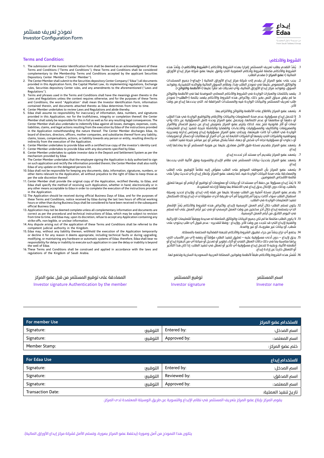## **Terms and Condition: :واألحكام الرشوط**

- 1. The submission of the Investor Identification Form shall be deemed as an acknowledgment of these Terms and Conditions ("Terms and Conditions"), these Terms and Conditions shall be considered complementary to the Membership Terms and Conditions accepted by the applicant Securities Depository Center Member ("Center Member").
- 2. The Center Member shall submit to the Securities depository Center Company ("Edaa") all documents provided in this Application form, the Capital Market Law, its implementing regulations, Exchange rules, Securities depository Center rules, and any amendments to the aforementioned ("Laws and Regulations").
- 3. Terms and phrases used in the Terms and Conditions shall have the meanings given thereto in the Laws and Regulations unless the context requires otherwise, and for the purposes of these Terms and Conditions, the word "Application" shall mean the Investor Identification Form, information contained therein, and documents attached thereto as Edaa determines from time to time.
- 4. Center Member undertakes to review Laws and Regulations and abide thereby. 5. Edaa shall assume no responsibility for inaccuracy of information, data, numbers, and signatures
- provided in this Application, nor for the truthfulness, integrity or completion thereof; the Center Member shall solely be responsible for this in full as well as for any resulting legal consequences. The Center Member shall also undertake to indemnify Edaa against all losses, damages, expenses, costs, liabilities, claims, and legal actions resulting from the execution by Edaa of the instructions provided in the Application notwithstanding the nature thereof. The Center Member discharges Edaa, its board of directors, directors, officers, mother companies, and subsidiaries thereof form any liability, claims, losses, compensations, actions, or liability towards any person or entity, resulting directly or<br>indirectly from the execution of the Application.<br>6. Center Member undertakes to provide Edaa with a certified true c
- 
- 7. Center Member undertakes to provide Edaa with any documents specified by Edaa. 8. Center Member undertakes to update investor data in the Deposit and Settlement System as per the
- mechanism provided by Edaa<br>9. The Center Member undertakes that the employee signing the Application is duly authorized to sign<br>6. The Center Member shall also notify the information provided therein; the Center Member Edaa of any update on the delegated persons list.
- 10. Edaa shall not be responsible for keeping any documents, data, information, signatures, other items relevant to the Application, all without prejudice to the right of Edaa to keep those as per the sole discretion thereof.
- 11. Center Member shall provide the original copy of the Application, rectified thereby, to Edaa, and Edaa shall specify the method of receiving such Application, whether in hand, electronically or in any other means acceptable to Edaa in order to complete the execution of the instructions provided
- in the Application. 12. The Application should be received during official Business Days of Edaa, and for the purposes of these Terms and Conditions, notice received by Edaa during the last two hours of official working hours or other than during Business Days shall be considered to have been received in the subsequent official Business Day.
- 13. Application may not be deemed complete unless all complementary information and documents are correct as per the procedural and technical instructions of Edaa, which may be subject to revision from time to time, and Edaa may, upon its discretion, refuse to accept any Application containing any strike-offs, non-legible, or unclear information.
- 14. Any dispute arising out of the application of these Terms and Conditions shall be referred to the
- competent judicial authority in the Kingdom.<br>15. Edaa may, without any liability thereon, withhold the execution of the Application temporarily<br>or decline it for any reason it deems appropriate, including technical faults modifying, or maintaining any hardware or automatic systems of Edaa; therefore, Edaa shall bear no responsibility for delay or inability to execute such application in case the delay or inability is beyond the well of Edaa.
- 16. These Terms and Conditions shall be construed and applied in accordance with the laws and regulations of the Kingdom of Saudi Arabia.

| المصادقة علم توقيع المستثمر من قبل عضو المركز   | توقيع المستثمر     | اسم المستثمر  |
|-------------------------------------------------|--------------------|---------------|
| Investor signature Authentication by the member | Investor signature | Investor name |

|          |              | لاستخدام عضو المركز |
|----------|--------------|---------------------|
| التوقيع: | Entered by:  | اسم المدخل:         |
| التوقيع: | Approved by: | اسم المعتمد:        |
|          |              | ختم عضو المركز :    |
|          |              |                     |

| For Edaa Use             |          |              | الستخدام إيداع       |
|--------------------------|----------|--------------|----------------------|
| Signature:               | التوقيع: | Entered by:  | اسم المدخل:          |
| Signature:               | التوقيع: | Reviewed by: | اسم المدقق:          |
| Signature:               | التوقيع: | Approved by: | اسم المعتمد:         |
| <b>Transaction Date:</b> |          |              | تاريخ تنفيذ العملية: |

يقوم المركز بإبلاغ عضو المركز بتعريف المستثمر في نظام الإيداع والتسوية عن طريق الوسيلة المعتمدة لدم المركز.

يتكون هذا النموذج من أصل وصورة (يحتفظ عضو المركز بصورة، وتسلم الأصل لشركة مركز إيداع الأوراق المالية).



- 1. يعد التقدم بطلب تعريف المستتمر إقرارا بهذه الشروط والآحكام («**الشروط والآحكام»)، و**تعد هذه<br>الشروط والأحكام مكملة لشروط وأحكام العضوية التي وافق عليها عضو شركة مركز إيداع الأوراق املالية )»**عضو املركز**«( مقدم الطلب.
- 2. يجب علم عضو المركز أن يقدم إلم شركة مركز إيداع الأوراق المالية ( «إيداع») جميع المستندات والوثائق المنصوص عليها في نموذج الطلب هذا، ونظام السوق المالية ولوائحه التنفيذية، وقواعد ر<br>السوق، وقواعد مركز إيداع الأوراق المالية، وأي تعديلات قد تطرأ عليها («الأنظمة واللوائح»).
- 3. يقصد بالكلمات والعبارات الواردة في الشروط والأحكام المعاني الموضحة لها في الأنظمة واللوائح<br>ما لم يقض سياق النص بغير ذلك، ولأغراض هذه الشروط والأحكام يقصد بكلمة («**الطل**ب») نموذج طلب تعريف املستثمر والبيانات الواردة فيه واملستندات املرافقة له، التي يحددها إيداع من وقت آلخر.
	- 4. يتعهد عضو المركز بالاطلاع على الأنظمة واللوائح والالتزام بها.
- 5. لا تتحمل إيداع مسؤولية عدم صحة المعلومات والبيانات والأرقام والتواقيع الواردة في هذا الطلب او دقتها أو سلامتها أو عدم اكتمالها، ويتحمل عضو المركز وحده كامل المسؤولية عن ذلك وأب<br>نبعات أو آثار قانونية تنتج عنه. كذلك يلتزم عضو المركز بتعويض إيداع عن جميع الخسائر والأضرار جحت ،و ،ور هنونية سمّ عنه، نتنت يُنترى عننو ،سربر بنحويتن إيداع عن جنبيع ،تمسّر و.تعرّر<br>والمصروفات والتكاليف والمسؤوليات والادعاءات والقضايا والناشئة نتيجة لتنفيذ إيداع للتعليمات الواردة في الطلب ايا كانت طبيعتها، ويخلب عضو المركز مسؤولية إيداع ومجلس إدارته ومديريه<br>وموظفيه والشركات التب يتبعها أو الشركات التابعة له عن أب أضرار أو مطالبات أو خسائر أو تعويضات أو دعاوى أو مسؤولية تجاه أي شخص أو جهة، تنشأ بشكل مبارش أو غري مبارش نتيجة تنفيذ الطلب.
- 6. يتعهد عضو المركز بتقديم نسخة طبق الأصل مصادق عليها عن هوية المستثمر أو ما يعادلها إلى إيداع.
	- .7 يتعهد عضو املركز بتقديم أي مستند آخر تحدده إيداع.
- 8. يتعهد عضو المركز بتحديث بيانات المستثمر في نظام الإيداع والتسوية وفق الآلية التي يحددها إيداع.
- 9. يتعهد عضو المركز بأن الموظف الموقع علم الطلب مفوَّض إليه نظاماً التوقيع علم الطلب والمصادقة علم صحة البيانات الواردة فيه، كما يتعهد عضو المركز بإخطار إيداع بأي تحديث يطرأ علم و.<br>قائمة الأشخاص المفوضين.
- ١٥. لا يعد إيداع مسؤولا عن حفظ اي مستندات او بيانات او معلومات او تواقيع او ارقام او غيرها تتعلق بالطلب، وذلك دون اإلخالل بحق إيداع يف االحتفاظ بها وفقاً إلرادته املنفردة.
- 11. يقدم عضو المركز نسخة أصلية من الطلب مصدقا عليها من قبله إلى إيداع، ولإيداع تحديد وسيلة استقبال الطلب سواء اكانت يدوياً أم إلكترونيا أم أي طريقة أخرى مقبولة لدم إيداع وذلك لاستكمال<br>ننفيذ التعليمات الواردة في الطلب.
- 12. يكون تسلم الطلب خلال آيام العمل الرسمية لإيداع، ولأغراض هذه الشروط والأحكام يعد الإشعار<br>الذي يتسلمه إيداع خلال آخر ساعتين من وقت العمل الرسمي أو في غير أيام العمل علم أنه تسلم يف اليوم الالحق من أيام العمل الرسمية.
- .13 ال يكون الطلب مكتمال ما مل تكن جميع البيانات والوثائق املكملة له صحيحة ووفقاً للتعليامت اإلجرائية والفنية إليداع التي قد تتجدد من وقت آلخر، وإليداع - وفقا لتقديره - عدم قبول أي طلب يحتوي عىل شطب، أو بيانات غير مقروءة، أو غير واضحة.
	- 14. يخضع أب نزاع ينشأ من جراء تطبيق الشروط والأحكام للجهة القضائية المختصة بالمملكة.
- 15. يحق لإيداع دون آدنمه مسؤولية عليه تعليق تنفيذ الطلب مؤقتاً أو رفضه لأبي من الأسباب التي<br>يراها مناسبة بما في ذلك حالات العطل الفنب أو أثناء تطوير أو تعديل أو صيانة أب من أجهزة إيداع أو نُظَمته الآلية، وعليه لا تتحمل إيداع مسؤولية أي تأخير أو تعطل في تنفّيذ الطلب، إذا كان هذا التأخير أو التعطل خارجاً عن إرادة إيداع.
- 16. تُفَسَّر هذه الشروط والأحكام طبقاً لأنظمة وقوانين المملكة العربية السعودية السارية وتخضع لها.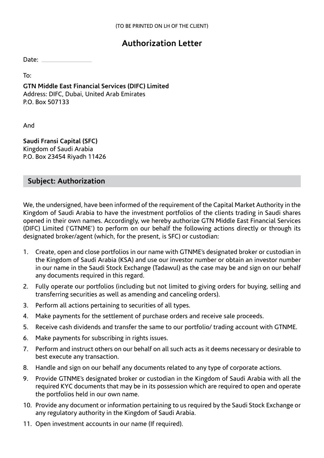## **Authorization Letter**

Date:

To:

**GTN Middle East Financial Services (DIFC) Limited**  Address: DIFC, Dubai, United Arab Emirates P.O. Box 507133

And

**Saudi Fransi Capital (SFC)** Kingdom of Saudi Arabia P.O. Box 23454 Riyadh 11426

## **Subject: Authorization**

We, the undersigned, have been informed of the requirement of the Capital Market Authority in the Kingdom of Saudi Arabia to have the investment portfolios of the clients trading in Saudi shares opened in their own names. Accordingly, we hereby authorize GTN Middle East Financial Services (DIFC) Limited ('GTNME') to perform on our behalf the following actions directly or through its designated broker/agent (which, for the present, is SFC) or custodian:

- 1. Create, open and close portfolios in our name with GTNME's designated broker or custodian in the Kingdom of Saudi Arabia (KSA) and use our investor number or obtain an investor number in our name in the Saudi Stock Exchange (Tadawul) as the case may be and sign on our behalf any documents required in this regard.
- 2. Fully operate our portfolios (including but not limited to giving orders for buying, selling and transferring securities as well as amending and canceling orders).
- 3. Perform all actions pertaining to securities of all types.
- 4. Make payments for the settlement of purchase orders and receive sale proceeds.
- 5. Receive cash dividends and transfer the same to our portfolio/ trading account with GTNME.
- 6. Make payments for subscribing in rights issues.
- 7. Perform and instruct others on our behalf on all such acts as it deems necessary or desirable to best execute any transaction.
- 8. Handle and sign on our behalf any documents related to any type of corporate actions.
- 9. Provide GTNME's designated broker or custodian in the Kingdom of Saudi Arabia with all the required KYC documents that may be in its possession which are required to open and operate the portfolios held in our own name.
- 10. Provide any document or information pertaining to us required by the Saudi Stock Exchange or any regulatory authority in the Kingdom of Saudi Arabia.
- 11. Open investment accounts in our name (If required).